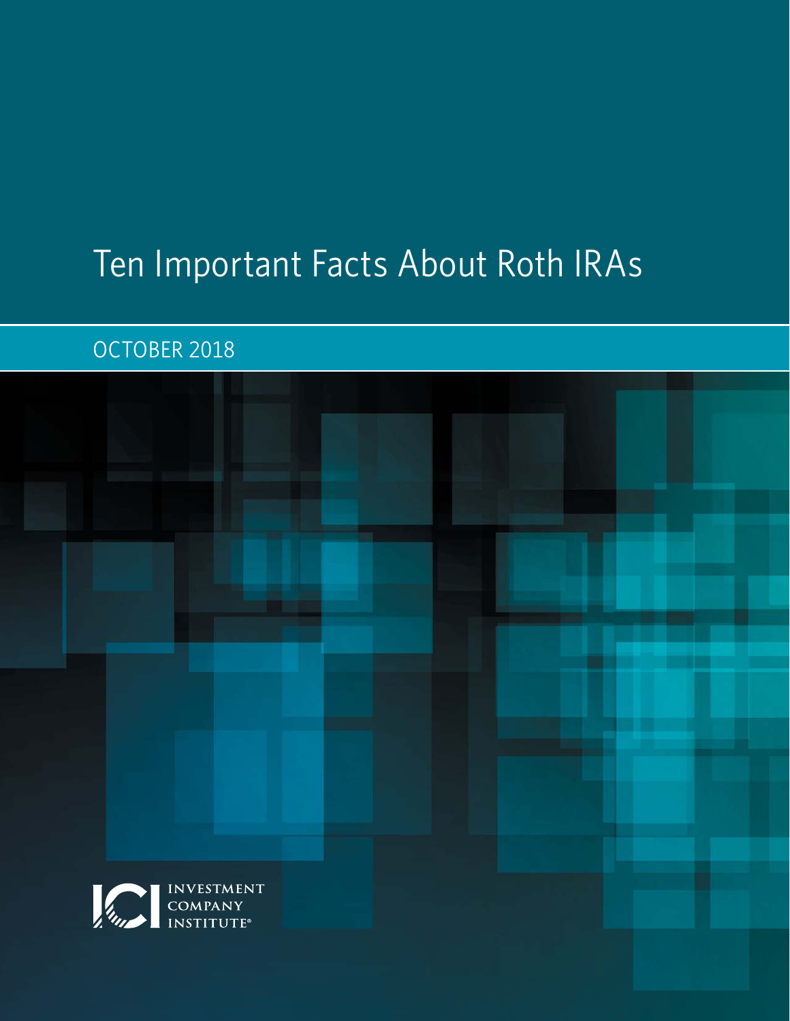# Ten Important Facts About Roth IRAs

## OCTOBER 2018

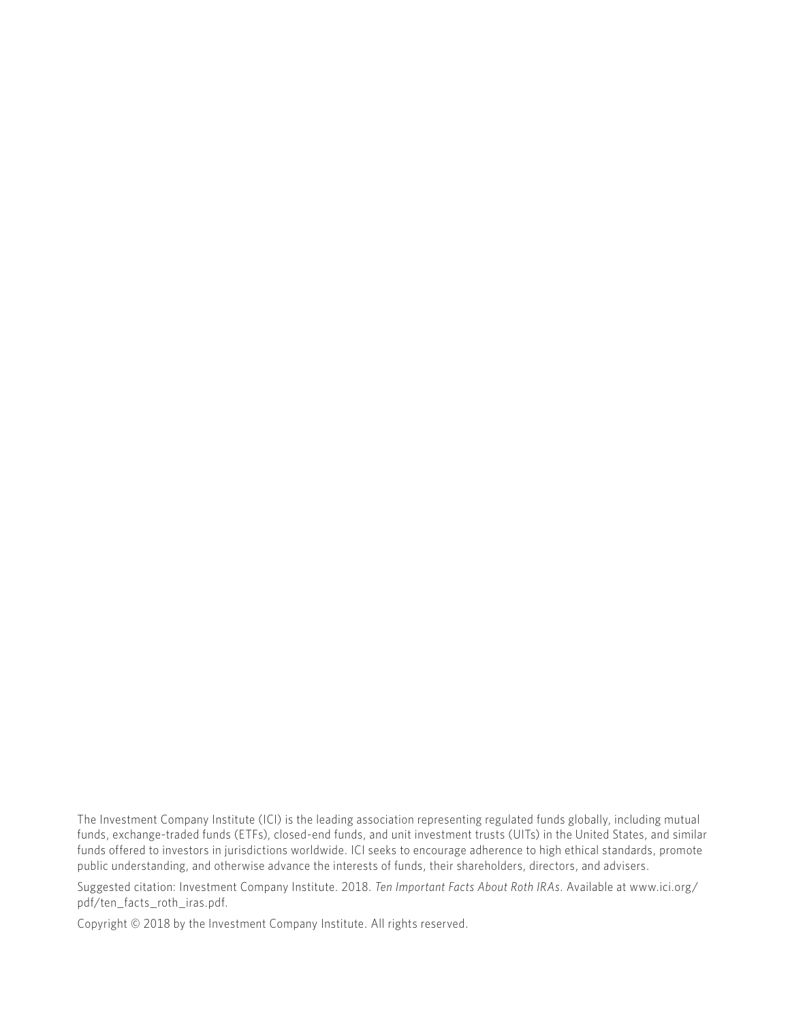The Investment Company Institute (ICI) is the leading association representing regulated funds globally, including mutual funds, exchange-traded funds (ETFs), closed-end funds, and unit investment trusts (UITs) in the United States, and similar funds offered to investors in jurisdictions worldwide. ICI seeks to encourage adherence to high ethical standards, promote public understanding, and otherwise advance the interests of funds, their shareholders, directors, and advisers.

Suggested citation: Investment Company Institute. 2018. *Ten Important Facts About Roth IRAs*. Available at www.ici.org/ pdf/ten\_facts\_roth\_iras.pdf.

Copyright © 2018 by the Investment Company Institute. All rights reserved.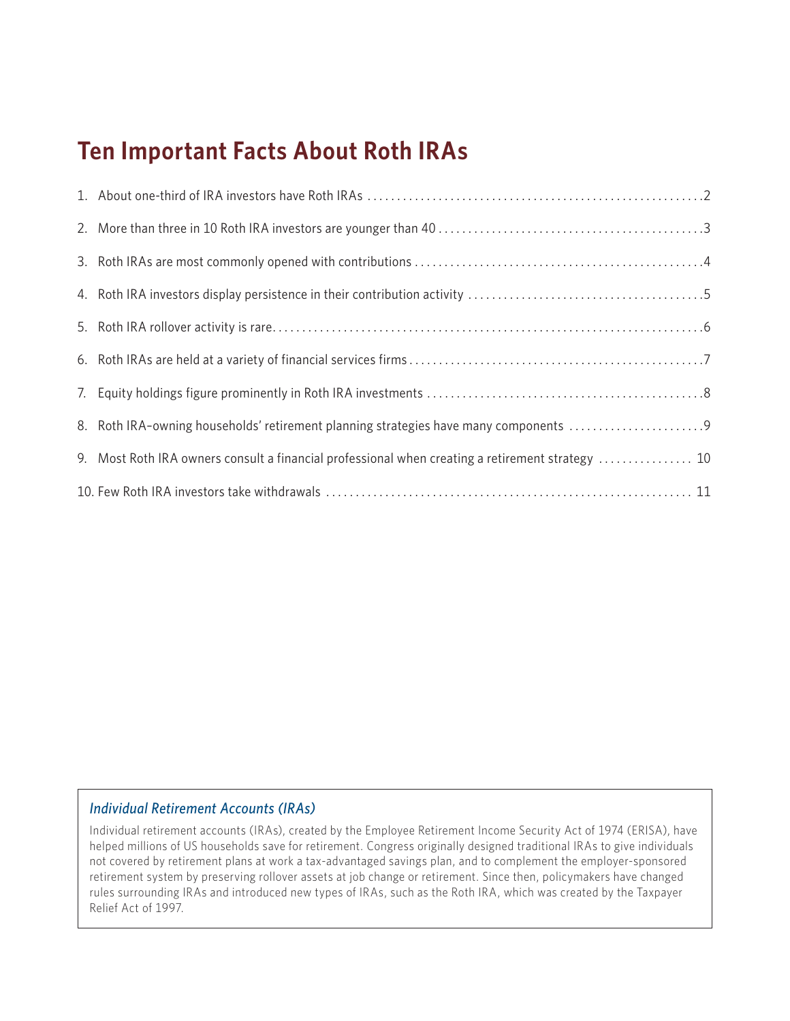# **Ten Important Facts About Roth IRAs**

| 8. Roth IRA-owning households' retirement planning strategies have many components               |
|--------------------------------------------------------------------------------------------------|
| 9. Most Roth IRA owners consult a financial professional when creating a retirement strategy  10 |
|                                                                                                  |

#### *Individual Retirement Accounts (IRAs)*

Individual retirement accounts (IRAs), created by the Employee Retirement Income Security Act of 1974 (ERISA), have helped millions of US households save for retirement. Congress originally designed traditional IRAs to give individuals not covered by retirement plans at work a tax-advantaged savings plan, and to complement the employer-sponsored retirement system by preserving rollover assets at job change or retirement. Since then, policymakers have changed rules surrounding IRAs and introduced new types of IRAs, such as the Roth IRA, which was created by the Taxpayer Relief Act of 1997.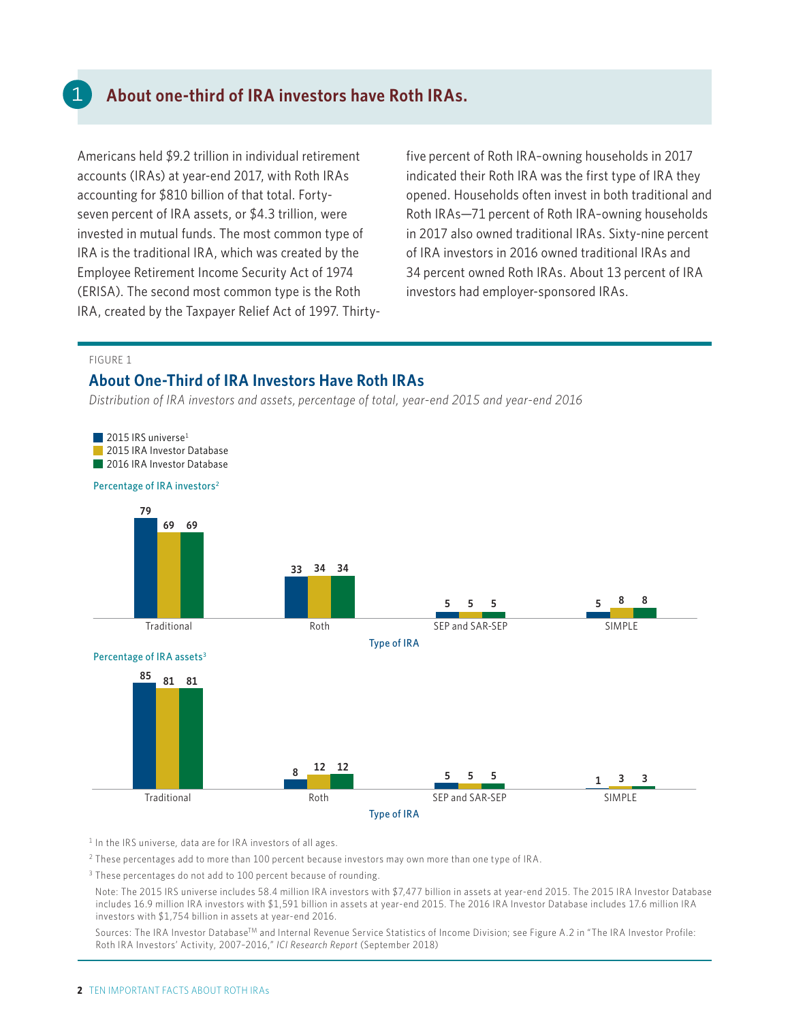### **About one-third of IRA investors have Roth IRAs.**

Americans held \$9.2 trillion in individual retirement accounts (IRAs) at year-end 2017, with Roth IRAs accounting for \$810 billion of that total. Fortyseven percent of IRA assets, or \$4.3 trillion, were invested in mutual funds. The most common type of IRA is the traditional IRA, which was created by the Employee Retirement Income Security Act of 1974 (ERISA). The second most common type is the Roth IRA, created by the Taxpayer Relief Act of 1997. Thirtyfive percent of Roth IRA–owning households in 2017 indicated their Roth IRA was the first type of IRA they opened. Households often invest in both traditional and Roth IRAs—71 percent of Roth IRA–owning households in 2017 also owned traditional IRAs. Sixty-nine percent of IRA investors in 2016 owned traditional IRAs and 34 percent owned Roth IRAs. About 13 percent of IRA investors had employer-sponsored IRAs.

#### FIGURE 1

#### **About One-Third of IRA Investors Have Roth IRAs**

*Distribution of IRA investors and assets, percentage of total, year-end 2015 and year-end 2016* 



1 In the IRS universe*,* data are for IRA investors of all ages.

2 These percentages add to more than 100 percent because investors may own more than one type of IRA.

<sup>3</sup> These percentages do not add to 100 percent because of rounding.

 Note: The 2015 IRS universe includes 58.4 million IRA investors with \$7,477 billion in assets at year-end 2015. The 2015 IRA Investor Database includes 16.9 million IRA investors with \$1,591 billion in assets at year-end 2015. The 2016 IRA Investor Database includes 17.6 million IRA investors with \$1,754 billion in assets at year-end 2016.

Sources: The IRA Investor Database<sup>TM</sup> and Internal Revenue Service Statistics of Income Division; see Figure A.2 in "The IRA Investor Profile: Roth IRA Investors' Activity, 2007–2016," *ICI Research Report* (September 2018)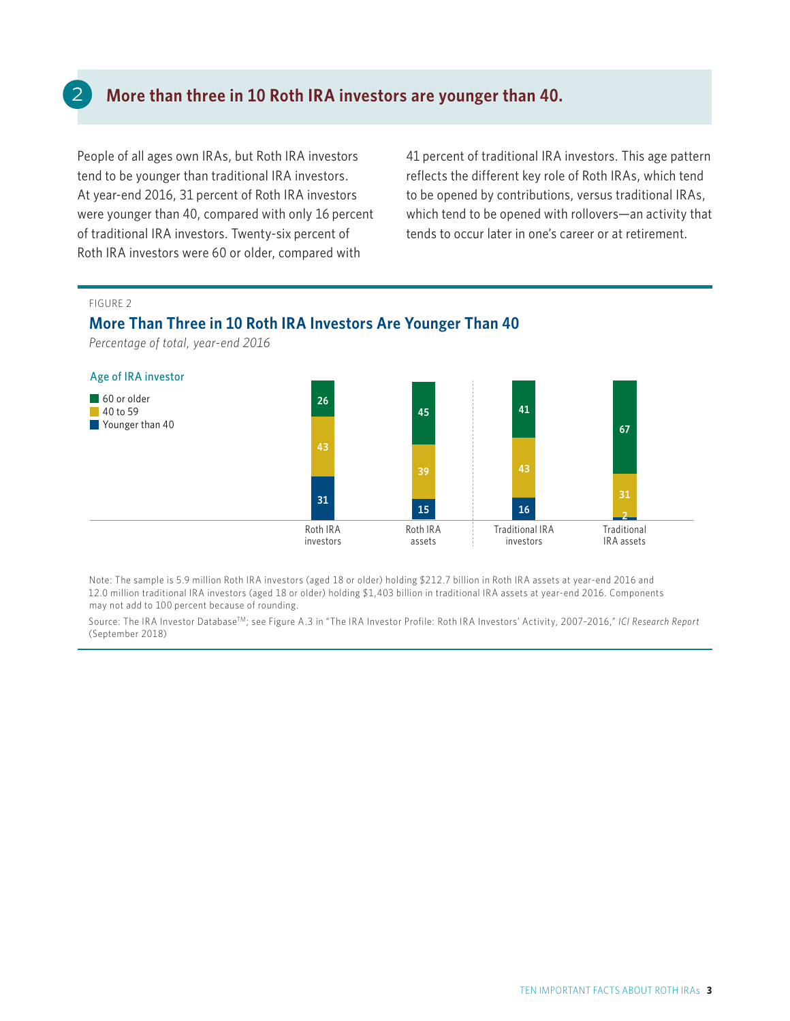### **More than three in 10 Roth IRA investors are younger than 40.**

People of all ages own IRAs, but Roth IRA investors tend to be younger than traditional IRA investors. At year-end 2016, 31 percent of Roth IRA investors were younger than 40, compared with only 16 percent of traditional IRA investors. Twenty-six percent of Roth IRA investors were 60 or older, compared with

41 percent of traditional IRA investors. This age pattern reflects the different key role of Roth IRAs, which tend to be opened by contributions, versus traditional IRAs, which tend to be opened with rollovers—an activity that tends to occur later in one's career or at retirement.

#### FIGURE 2

#### **More Than Three in 10 Roth IRA Investors Are Younger Than 40**

*Percentage of total, year-end 2016* 



Note: The sample is 5.9 million Roth IRA investors (aged 18 or older) holding \$212.7 billion in Roth IRA assets at year-end 2016 and 12.0 million traditional IRA investors (aged 18 or older) holding \$1,403 billion in traditional IRA assets at year-end 2016. Components may not add to 100 percent because of rounding.

Source: The IRA Investor DatabaseTM; see Figure A.3 in "The IRA Investor Profile: Roth IRA Investors' Activity, 2007–2016," *ICI Research Report* (September 2018)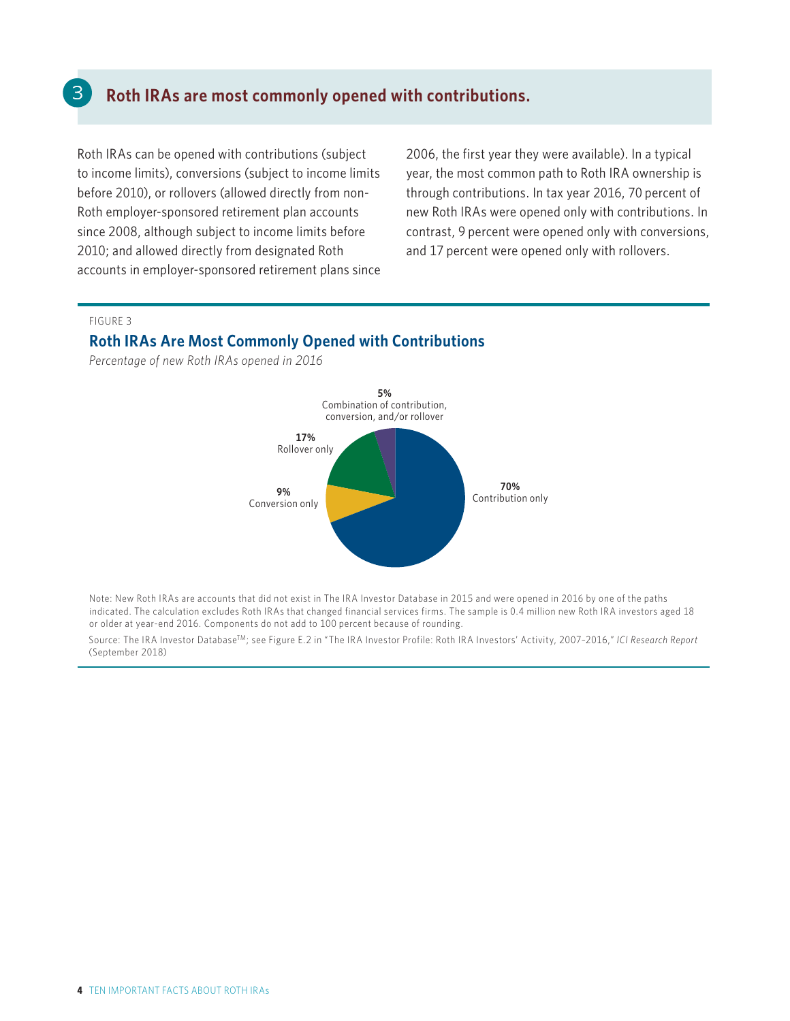### **Roth IRAs are most commonly opened with contributions.**

Roth IRAs can be opened with contributions (subject to income limits), conversions (subject to income limits before 2010), or rollovers (allowed directly from non-Roth employer-sponsored retirement plan accounts since 2008, although subject to income limits before 2010; and allowed directly from designated Roth accounts in employer-sponsored retirement plans since 2006, the first year they were available). In a typical year, the most common path to Roth IRA ownership is through contributions. In tax year 2016, 70 percent of new Roth IRAs were opened only with contributions. In contrast, 9 percent were opened only with conversions, and 17 percent were opened only with rollovers.

#### FIGURE 3

3

#### **Roth IRAs Are Most Commonly Opened with Contributions**

*Percentage of new Roth IRAs opened in 2016* 



Note: New Roth IRAs are accounts that did not exist in The IRA Investor Database in 2015 and were opened in 2016 by one of the paths indicated. The calculation excludes Roth IRAs that changed financial services firms. The sample is 0.4 million new Roth IRA investors aged 18 or older at year-end 2016. Components do not add to 100 percent because of rounding.

Source: The IRA Investor DatabaseTM; see Figure E.2 in "The IRA Investor Profile: Roth IRA Investors' Activity, 2007–2016," *ICI Research Report*  (September 2018)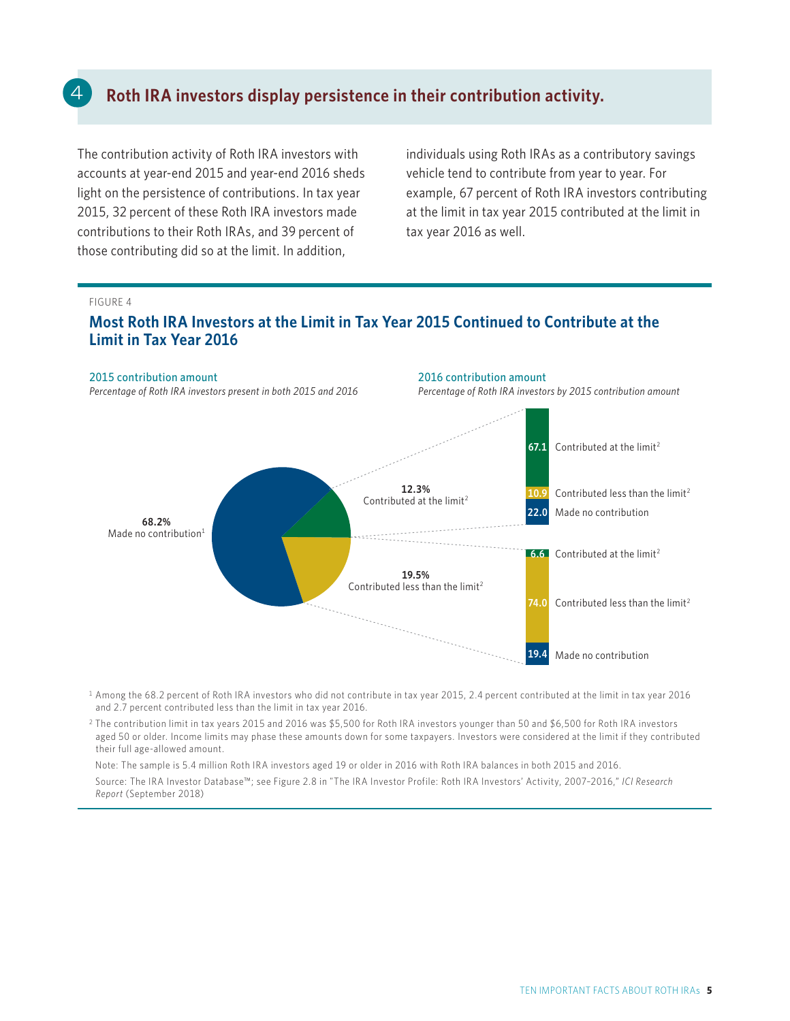### **Roth IRA investors display persistence in their contribution activity.**

The contribution activity of Roth IRA investors with accounts at year-end 2015 and year-end 2016 sheds light on the persistence of contributions. In tax year 2015, 32 percent of these Roth IRA investors made contributions to their Roth IRAs, and 39 percent of those contributing did so at the limit. In addition,

individuals using Roth IRAs as a contributory savings vehicle tend to contribute from year to year. For example, 67 percent of Roth IRA investors contributing at the limit in tax year 2015 contributed at the limit in tax year 2016 as well.

#### FIGURE 4

### **Most Roth IRA Investors at the Limit in Tax Year 2015 Continued to Contribute at the Limit in Tax Year 2016**



1 Among the 68.2 percent of Roth IRA investors who did not contribute in tax year 2015, 2.4 percent contributed at the limit in tax year 2016 and 2.7 percent contributed less than the limit in tax year 2016.

2 The contribution limit in tax years 2015 and 2016 was \$5,500 for Roth IRA investors younger than 50 and \$6,500 for Roth IRA investors aged 50 or older. Income limits may phase these amounts down for some taxpayers. Investors were considered at the limit if they contributed their full age-allowed amount.

Note: The sample is 5.4 million Roth IRA investors aged 19 or older in 2016 with Roth IRA balances in both 2015 and 2016.

 Source: The IRA Investor Database™; see Figure 2.8 in "The IRA Investor Profile: Roth IRA Investors' Activity, 2007–2016," *ICI Research Report* (September 2018)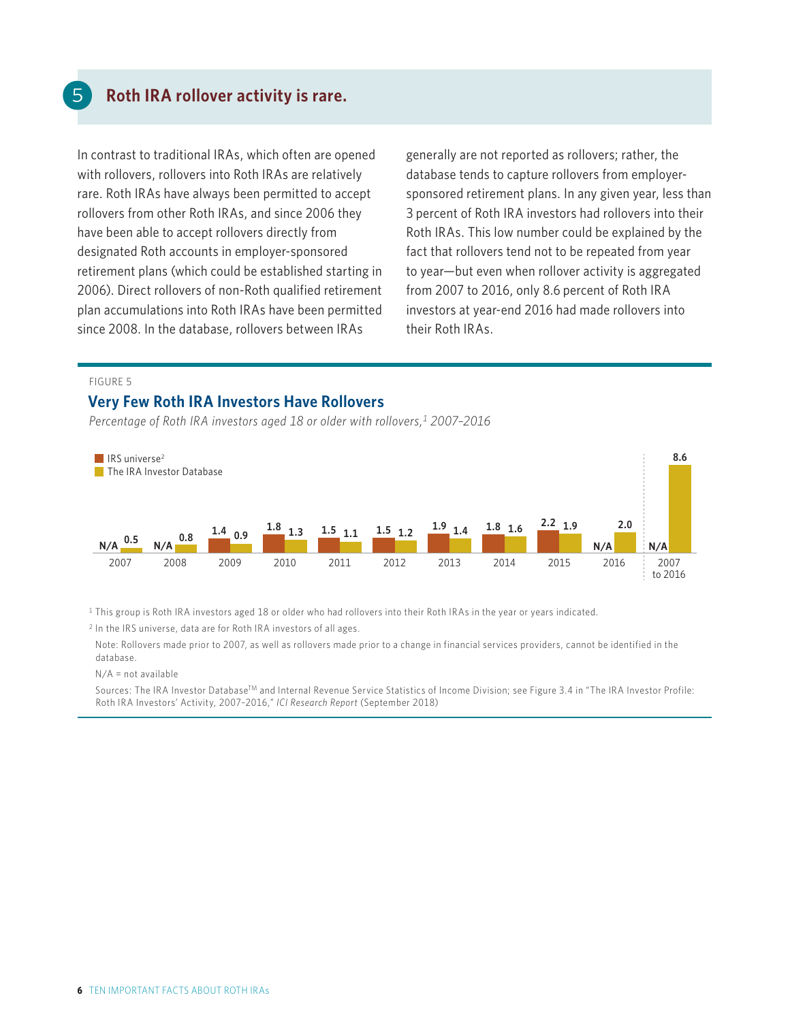### **Roth IRA rollover activity is rare.**

In contrast to traditional IRAs, which often are opened with rollovers, rollovers into Roth IRAs are relatively rare. Roth IRAs have always been permitted to accept rollovers from other Roth IRAs, and since 2006 they have been able to accept rollovers directly from designated Roth accounts in employer-sponsored retirement plans (which could be established starting in 2006). Direct rollovers of non-Roth qualified retirement plan accumulations into Roth IRAs have been permitted since 2008. In the database, rollovers between IRAs

generally are not reported as rollovers; rather, the database tends to capture rollovers from employersponsored retirement plans. In any given year, less than 3 percent of Roth IRA investors had rollovers into their Roth IRAs. This low number could be explained by the fact that rollovers tend not to be repeated from year to year—but even when rollover activity is aggregated from 2007 to 2016, only 8.6 percent of Roth IRA investors at year-end 2016 had made rollovers into their Roth IRAs.

#### FIGURE 5

#### **Very Few Roth IRA Investors Have Rollovers**

*Percentage of Roth IRA investors aged 18 or older with rollovers,1 2007–2016* 



 $1$  This group is Roth IRA investors aged 18 or older who had rollovers into their Roth IRAs in the year or years indicated.

2 In the IRS universe, data are for Roth IRA investors of all ages.

 Note: Rollovers made prior to 2007, as well as rollovers made prior to a change in financial services providers, cannot be identified in the database.

N/A = not available

Sources: The IRA Investor Database<sup>TM</sup> and Internal Revenue Service Statistics of Income Division; see Figure 3.4 in "The IRA Investor Profile: Roth IRA Investors' Activity, 2007–2016," *ICI Research Report* (September 2018)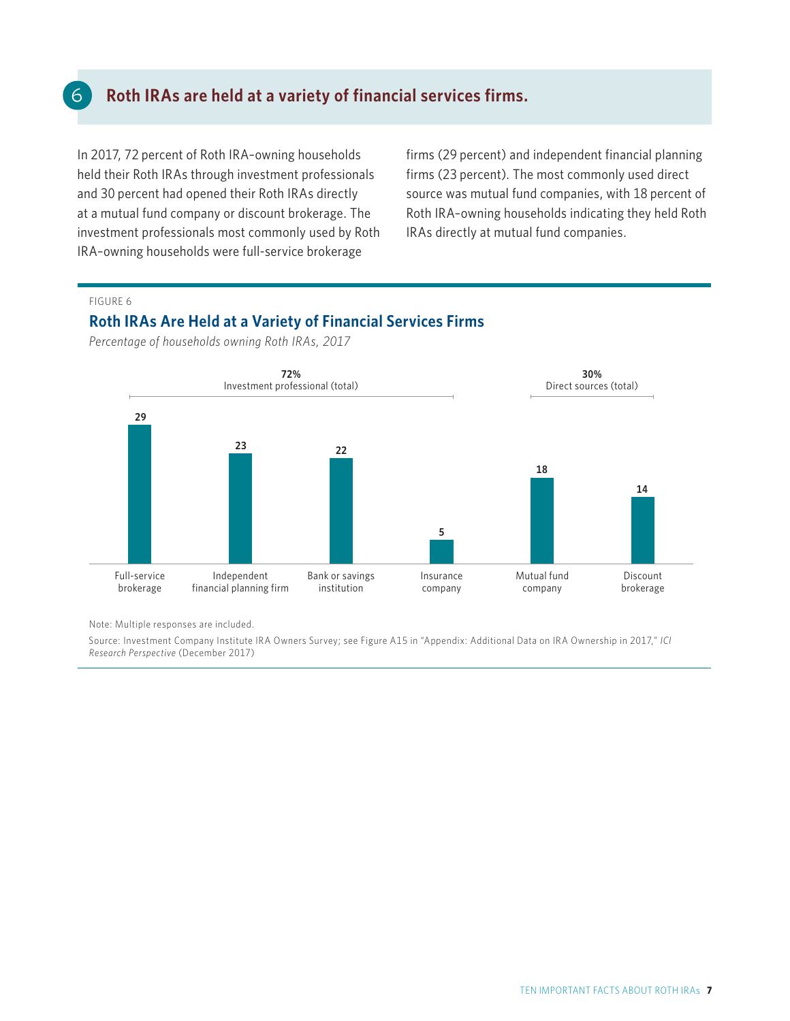### **Roth IRAs are held at a variety of financial services firms.**

In 2017, 72 percent of Roth IRA–owning households held their Roth IRAs through investment professionals and 30 percent had opened their Roth IRAs directly at a mutual fund company or discount brokerage. The investment professionals most commonly used by Roth IRA–owning households were full-service brokerage

firms (29 percent) and independent financial planning firms (23 percent). The most commonly used direct source was mutual fund companies, with 18 percent of Roth IRA–owning households indicating they held Roth IRAs directly at mutual fund companies.

#### FIGURE 6

6

#### **Roth IRAs Are Held at a Variety of Financial Services Firms**

*Percentage of households owning Roth IRAs, 2017* 



Note: Multiple responses are included.

Source: Investment Company Institute IRA Owners Survey; see Figure A15 in "Appendix: Additional Data on IRA Ownership in 2017," *ICI Research Perspective* (December 2017)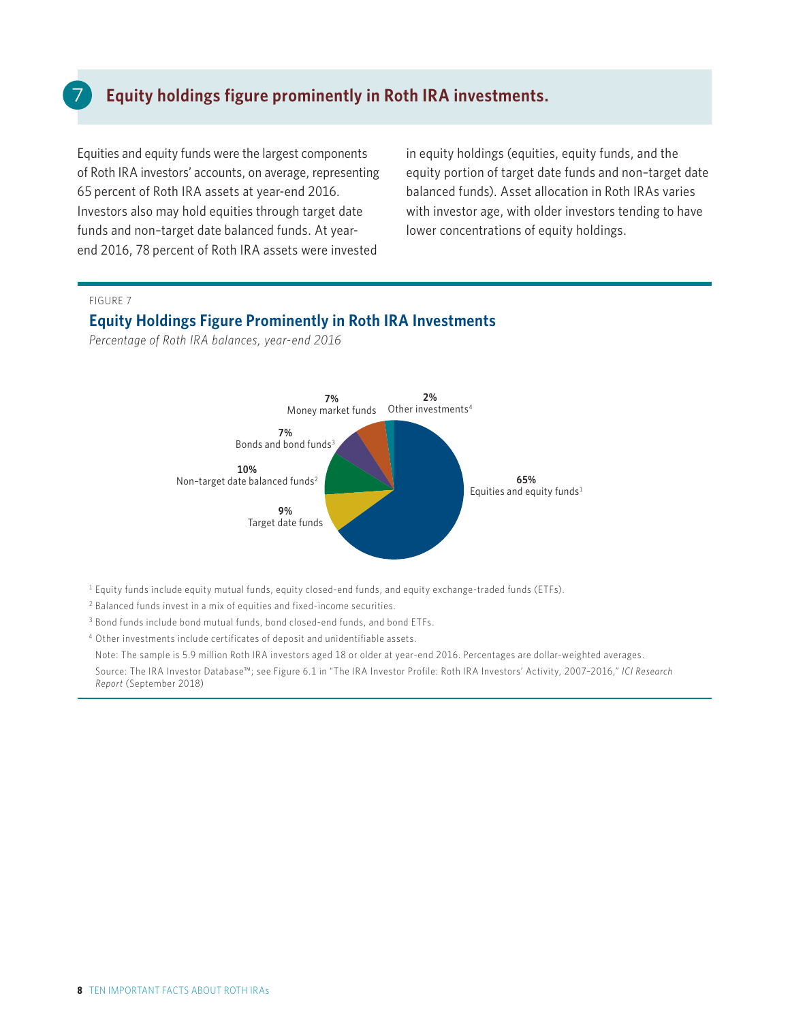### **Equity holdings figure prominently in Roth IRA investments.**

Equities and equity funds were the largest components of Roth IRA investors' accounts, on average, representing 65 percent of Roth IRA assets at year-end 2016. Investors also may hold equities through target date funds and non–target date balanced funds. At yearend 2016, 78 percent of Roth IRA assets were invested

in equity holdings (equities, equity funds, and the equity portion of target date funds and non–target date balanced funds). Asset allocation in Roth IRAs varies with investor age, with older investors tending to have lower concentrations of equity holdings.

#### FIGURE 7

#### **Equity Holdings Figure Prominently in Roth IRA Investments**

*Percentage of Roth IRA balances, year-end 2016*



1 Equity funds include equity mutual funds, equity closed-end funds, and equity exchange-traded funds (ETFs).

- 2 Balanced funds invest in a mix of equities and fixed-income securities.
- 3 Bond funds include bond mutual funds, bond closed-end funds, and bond ETFs.

4 Other investments include certificates of deposit and unidentifiable assets.

Note: The sample is 5.9 million Roth IRA investors aged 18 or older at year-end 2016. Percentages are dollar-weighted averages.

 Source: The IRA Investor Database™; see Figure 6.1 in "The IRA Investor Profile: Roth IRA Investors' Activity, 2007–2016," *ICI Research Report* (September 2018)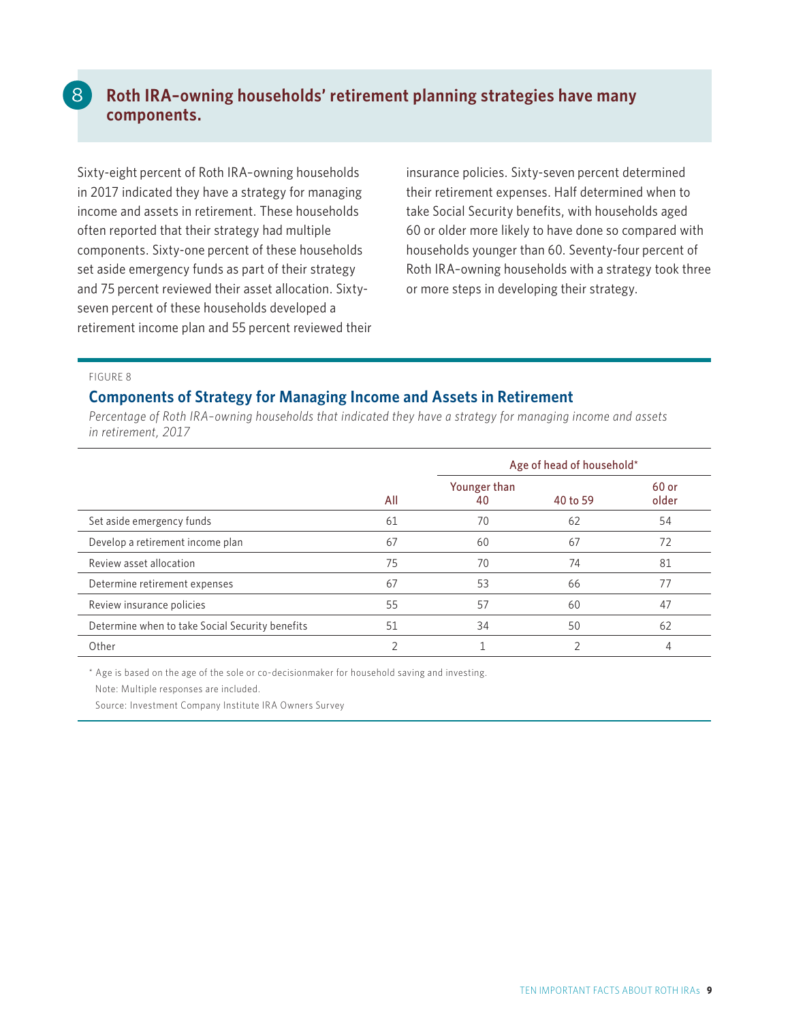### **Roth IRA–owning households' retirement planning strategies have many components.**

Sixty-eight percent of Roth IRA–owning households in 2017 indicated they have a strategy for managing income and assets in retirement. These households often reported that their strategy had multiple components. Sixty-one percent of these households set aside emergency funds as part of their strategy and 75 percent reviewed their asset allocation. Sixtyseven percent of these households developed a retirement income plan and 55 percent reviewed their insurance policies. Sixty-seven percent determined their retirement expenses. Half determined when to take Social Security benefits, with households aged 60 or older more likely to have done so compared with households younger than 60. Seventy-four percent of Roth IRA–owning households with a strategy took three or more steps in developing their strategy.

#### FIGURE 8

 $\mathcal{B}$ 

#### **Components of Strategy for Managing Income and Assets in Retirement**

*Percentage of Roth IRA–owning households that indicated they have a strategy for managing income and assets in retirement, 2017* 

|                                                 |     | Age of head of household* |          |                |
|-------------------------------------------------|-----|---------------------------|----------|----------------|
|                                                 | All | Younger than<br>40        | 40 to 59 | 60 or<br>older |
| Set aside emergency funds                       | 61  | 70                        | 62       | 54             |
| Develop a retirement income plan                | 67  | 60                        | 67       | 72             |
| Review asset allocation                         | 75  | 70                        | 74       | 81             |
| Determine retirement expenses                   | 67  | 53                        | 66       | 77             |
| Review insurance policies                       | 55  | 57                        | 60       | 47             |
| Determine when to take Social Security benefits | 51  | 34                        | 50       | 62             |
| Other                                           |     |                           |          |                |

\* Age is based on the age of the sole or co-decisionmaker for household saving and investing.

Note: Multiple responses are included.

Source: Investment Company Institute IRA Owners Survey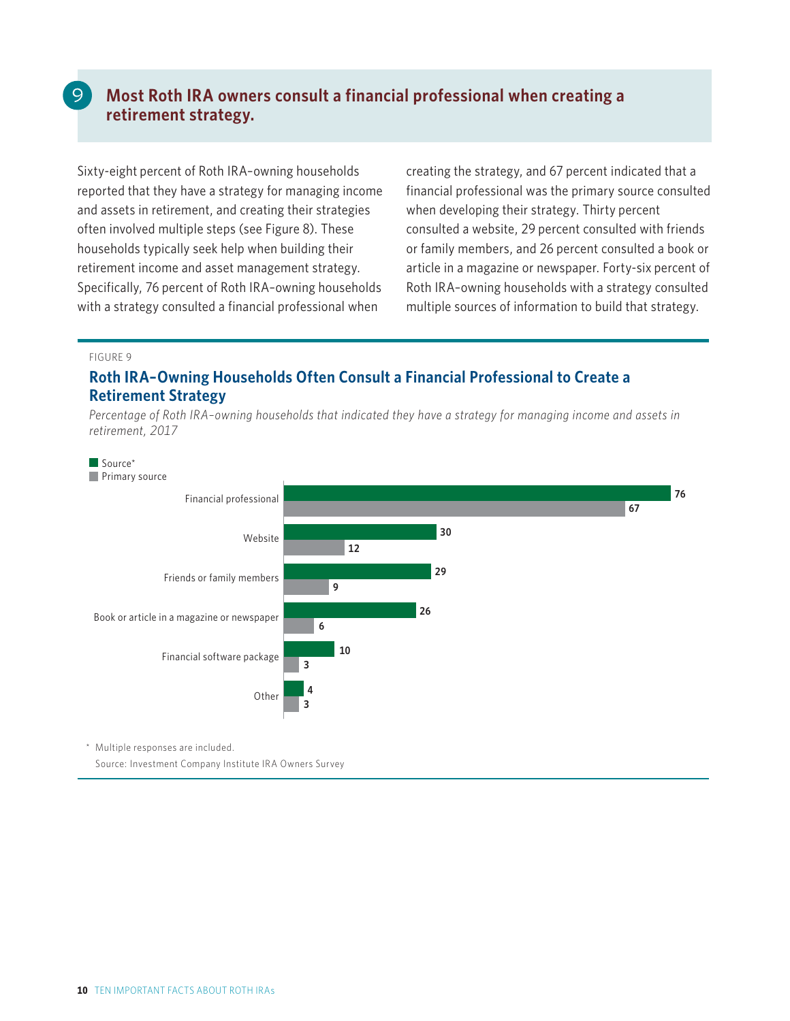### **Most Roth IRA owners consult a financial professional when creating a retirement strategy.**

Sixty-eight percent of Roth IRA–owning households reported that they have a strategy for managing income and assets in retirement, and creating their strategies often involved multiple steps (see Figure 8). These households typically seek help when building their retirement income and asset management strategy. Specifically, 76 percent of Roth IRA–owning households with a strategy consulted a financial professional when

creating the strategy, and 67 percent indicated that a financial professional was the primary source consulted when developing their strategy. Thirty percent consulted a website, 29 percent consulted with friends or family members, and 26 percent consulted a book or article in a magazine or newspaper. Forty-six percent of Roth IRA–owning households with a strategy consulted multiple sources of information to build that strategy.

#### FIGURE 9

### **Roth IRA–Owning Households Often Consult a Financial Professional to Create a Retirement Strategy**

*Percentage of Roth IRA–owning households that indicated they have a strategy for managing income and assets in retirement, 2017*



Source: Investment Company Institute IRA Owners Survey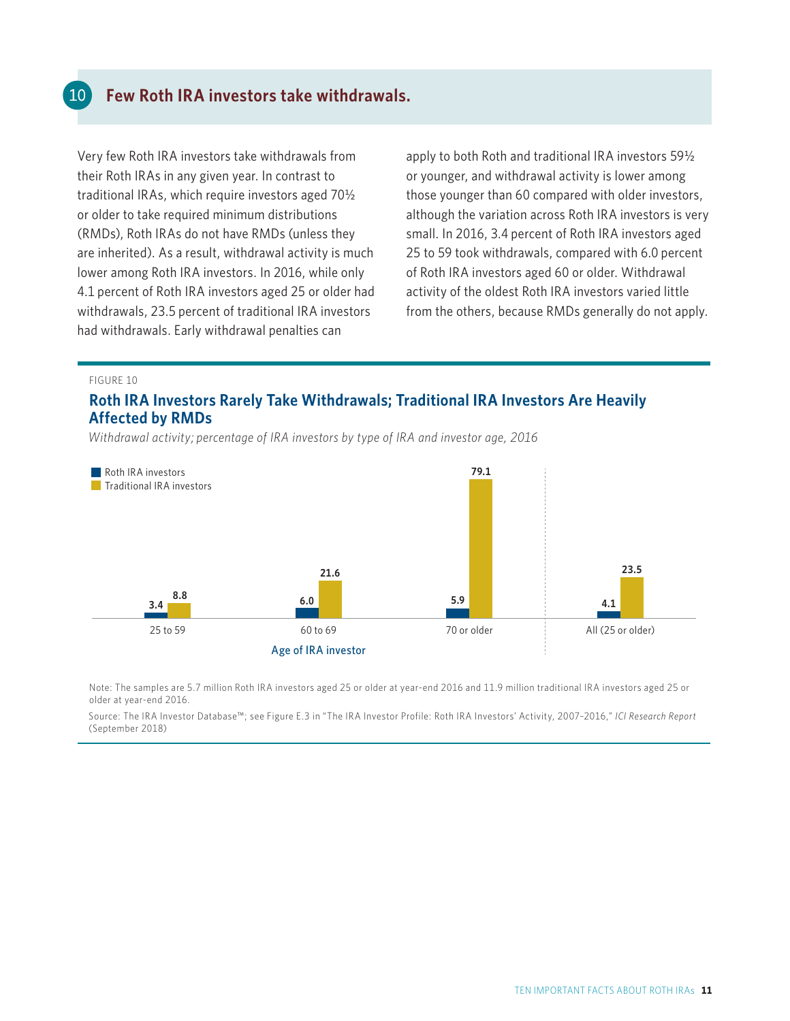### **Few Roth IRA investors take withdrawals.**

Very few Roth IRA investors take withdrawals from their Roth IRAs in any given year. In contrast to traditional IRAs, which require investors aged 70½ or older to take required minimum distributions (RMDs), Roth IRAs do not have RMDs (unless they are inherited). As a result, withdrawal activity is much lower among Roth IRA investors. In 2016, while only 4.1 percent of Roth IRA investors aged 25 or older had withdrawals, 23.5 percent of traditional IRA investors had withdrawals. Early withdrawal penalties can

apply to both Roth and traditional IRA investors 59½ or younger, and withdrawal activity is lower among those younger than 60 compared with older investors, although the variation across Roth IRA investors is very small. In 2016, 3.4 percent of Roth IRA investors aged 25 to 59 took withdrawals, compared with 6.0 percent of Roth IRA investors aged 60 or older. Withdrawal activity of the oldest Roth IRA investors varied little from the others, because RMDs generally do not apply.

#### FIGURE 10

10

#### **Roth IRA Investors Rarely Take Withdrawals; Traditional IRA Investors Are Heavily Affected by RMDs**

*Withdrawal activity; percentage of IRA investors by type of IRA and investor age, 2016* 



Note: The samples are 5.7 million Roth IRA investors aged 25 or older at year-end 2016 and 11.9 million traditional IRA investors aged 25 or older at year-end 2016.

Source: The IRA Investor Database™; see Figure E.3 in "The IRA Investor Profile: Roth IRA Investors' Activity, 2007–2016," *ICI Research Report*  (September 2018)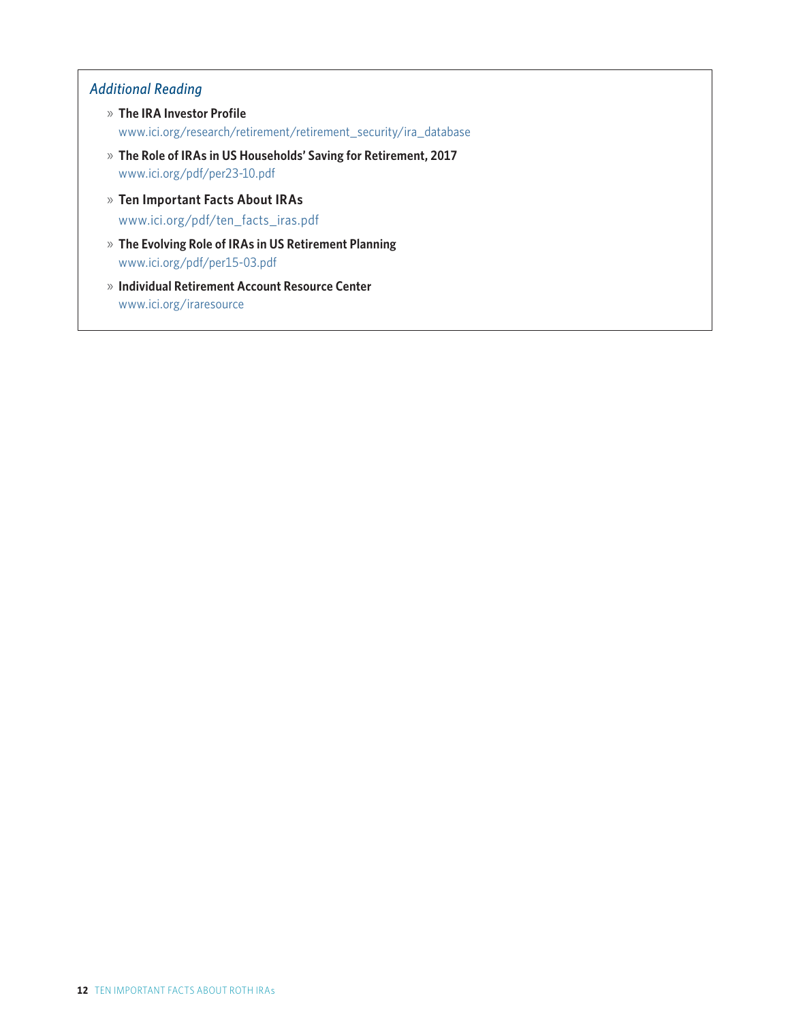### *Additional Reading*

- » **The IRA Investor Profile** www.ici.org/research/retirement/retirement\_security/ira\_database
- » **The Role of IRAs in US Households' Saving for Retirement, 2017** www.ici.org/pdf/per23-10.pdf
- » **Ten Important Facts About IRAs** www.ici.org/pdf/ten\_facts\_iras.pdf
- » **The Evolving Role of IRAs in US Retirement Planning** www.ici.org/pdf/per15-03.pdf
- » **Individual Retirement Account Resource Center** www.ici.org/iraresource